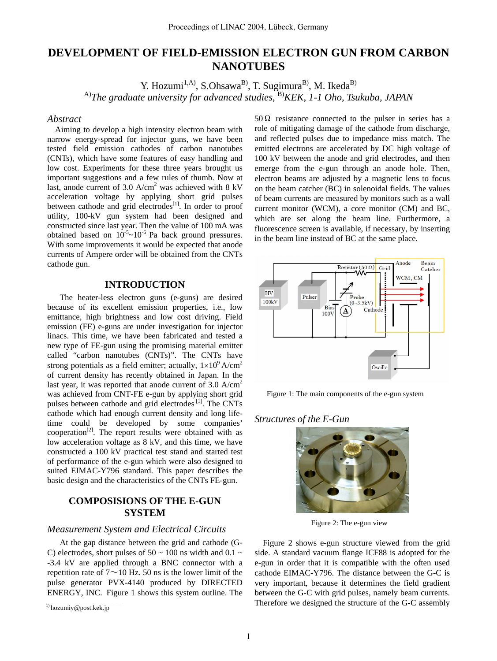# **DEVELOPMENT OF FIELD-EMISSION ELECTRON GUN FROM CARBON NANOTUBES**

Y. Hozumi<sup>1,A)</sup>, S.Ohsawa<sup>B)</sup>, T. Sugimura<sup>B)</sup>, M. Ikeda<sup>B)</sup> A)*The graduate university for advanced studies*, B)*KEK*, *1-1 Oho, Tsukuba, JAPAN*

#### *Abstract*

Aiming to develop a high intensity electron beam with narrow energy-spread for injector guns, we have been tested field emission cathodes of carbon nanotubes (CNTs), which have some features of easy handling and low cost. Experiments for these three years brought us important suggestions and a few rules of thumb. Now at last, anode current of 3.0  $A/cm<sup>2</sup>$  was achieved with 8 kV acceleration voltage by applying short grid pulses between cathode and grid electrodes<sup>[1]</sup>. In order to proof utility, 100-kV gun system had been designed and constructed since last year. Then the value of 100 mA was obtained based on  $10^{-5}$ ~ $10^{-6}$  Pa back ground pressures. With some improvements it would be expected that anode currents of Ampere order will be obtained from the CNTs cathode gun.

# **INTRODUCTION**

The heater-less electron guns (e-guns) are desired because of its excellent emission properties, i.e., low emittance, high brightness and low cost driving. Field emission (FE) e-guns are under investigation for injector linacs. This time, we have been fabricated and tested a new type of FE-gun using the promising material emitter called "carbon nanotubes (CNTs)". The CNTs have strong potentials as a field emitter; actually,  $1 \times 10^{9}$  A/cm<sup>2</sup> of current density has recently obtained in Japan. In the last year, it was reported that anode current of  $3.0 \text{ A/cm}^2$ was achieved from CNT-FE e-gun by applying short grid pulses between cathode and grid electrodes<sup>[1]</sup>. The CNTs cathode which had enough current density and long lifetime could be developed by some companies'  $cooperation<sup>[2]</sup>$ . The report results were obtained with as low acceleration voltage as 8 kV, and this time, we have constructed a 100 kV practical test stand and started test of performance of the e-gun which were also designed to suited EIMAC-Y796 standard. This paper describes the basic design and the characteristics of the CNTs FE-gun.

# **COMPOSISIONS OF THE E-GUN SYSTEM**

#### *Measurement System and Electrical Circuits*

At the gap distance between the grid and cathode (G-C) electrodes, short pulses of 50  $\sim$  100 ns width and 0.1  $\sim$ -3.4 kV are applied through a BNC connector with a repetition rate of  $7 \sim 10$  Hz. 50 ns is the lower limit of the pulse generator PVX-4140 produced by DIRECTED ENERGY, INC. Figure 1 shows this system outline. The 50 Ω resistance connected to the pulser in series has a role of mitigating damage of the cathode from discharge, and reflected pulses due to impedance miss match. The emitted electrons are accelerated by DC high voltage of 100 kV between the anode and grid electrodes, and then emerge from the e-gun through an anode hole. Then, electron beams are adjusted by a magnetic lens to focus on the beam catcher (BC) in solenoidal fields. The values of beam currents are measured by monitors such as a wall current monitor (WCM), a core monitor (CM) and BC, which are set along the beam line. Furthermore, a fluorescence screen is available, if necessary, by inserting in the beam line instead of BC at the same place.



Figure 1: The main components of the e-gun system

#### *Structures of the E-Gun*



Figure 2: The e-gun view

Figure 2 shows e-gun structure viewed from the grid side. A standard vacuum flange ICF88 is adopted for the e-gun in order that it is compatible with the often used cathode EIMAC-Y796. The distance between the G-C is very important, because it determines the field gradient between the G-C with grid pulses, namely beam currents. Therefore we designed the structure of the G-C assembly

<sup>&</sup>lt;sup>1)</sup> hozumiy@post.kek.jp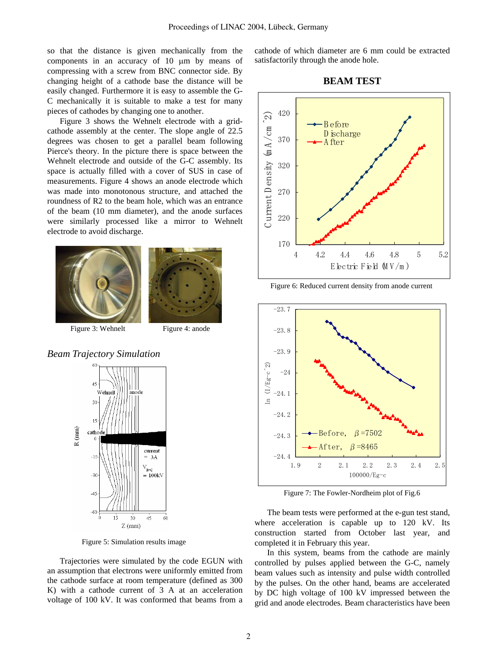so that the distance is given mechanically from the components in an accuracy of 10 µm by means of compressing with a screw from BNC connector side. By changing height of a cathode base the distance will be easily changed. Furthermore it is easy to assemble the G-C mechanically it is suitable to make a test for many pieces of cathodes by changing one to another.

Figure 3 shows the Wehnelt electrode with a gridcathode assembly at the center. The slope angle of 22.5 degrees was chosen to get a parallel beam following Pierce's theory. In the picture there is space between the Wehnelt electrode and outside of the G-C assembly. Its space is actually filled with a cover of SUS in case of measurements. Figure 4 shows an anode electrode which was made into monotonous structure, and attached the roundness of R2 to the beam hole, which was an entrance of the beam (10 mm diameter), and the anode surfaces were similarly processed like a mirror to Wehnelt electrode to avoid discharge.





Figure 3: Wehnelt Figure 4: anode





Figure 5: Simulation results image

Trajectories were simulated by the code EGUN with an assumption that electrons were uniformly emitted from the cathode surface at room temperature (defined as 300 K) with a cathode current of 3 A at an acceleration voltage of 100 kV. It was conformed that beams from a cathode of which diameter are 6 mm could be extracted satisfactorily through the anode hole.





Figure 6: Reduced current density from anode current



Figure 7: The Fowler-Nordheim plot of Fig.6

The beam tests were performed at the e-gun test stand, where acceleration is capable up to 120 kV. Its construction started from October last year, and completed it in February this year.

In this system, beams from the cathode are mainly controlled by pulses applied between the G-C, namely beam values such as intensity and pulse width controlled by the pulses. On the other hand, beams are accelerated by DC high voltage of 100 kV impressed between the grid and anode electrodes. Beam characteristics have been